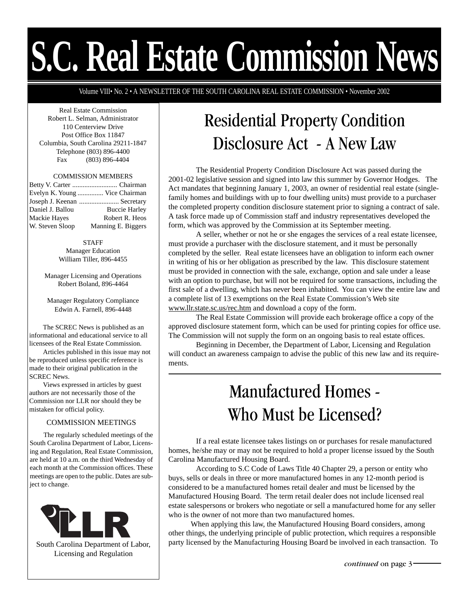# **S.C. Real Estate Commission News**

Volume VIII• No. 2 • A NEWSLETTER OF THE SOUTH CAROLINA REAL ESTATE COMMISSION • November 2002

Real Estate Commission Robert L. Selman, Administrator 110 Centerview Drive Post Office Box 11847 Columbia, South Carolina 29211-1847 Telephone (803) 896-4400 Fax (803) 896-4404

#### COMMISSION MEMBERS

|                     | Evelyn K. Young  Vice Chairman |
|---------------------|--------------------------------|
|                     | Joseph J. Keenan  Secretary    |
| Daniel J. Ballou    | <b>Buccie Harley</b>           |
| <b>Mackie Haves</b> | Robert R. Heos                 |
| W. Steven Sloop     | Manning E. Biggers             |

STAFF Manager Education William Tiller, 896-4455

Manager Licensing and Operations Robert Boland, 896-4464

Manager Regulatory Compliance Edwin A. Farnell, 896-4448

The SCREC News is published as an informational and educational service to all licensees of the Real Estate Commission.

Articles published in this issue may not be reproduced unless specific reference is made to their original publication in the SCREC News.

Views expressed in articles by guest authors are not necessarily those of the Commission nor LLR nor should they be mistaken for official policy.

## COMMISSION MEETINGS

The regularly scheduled meetings of the South Carolina Department of Labor, Licensing and Regulation, Real Estate Commission, are held at 10 a.m. on the third Wednesday of each month at the Commission offices. These meetings are open to the public. Dates are subject to change.



South Carolina Department of Labor, Licensing and Regulation

# Residential Property Condition Disclosure Act - A New Law

The Residential Property Condition Disclosure Act was passed during the 2001-02 legislative session and signed into law this summer by Governor Hodges. The Act mandates that beginning January 1, 2003, an owner of residential real estate (singlefamily homes and buildings with up to four dwelling units) must provide to a purchaser the completed property condition disclosure statement prior to signing a contract of sale. A task force made up of Commission staff and industry representatives developed the form, which was approved by the Commission at its September meeting.

A seller, whether or not he or she engages the services of a real estate licensee, must provide a purchaser with the disclosure statement, and it must be personally completed by the seller. Real estate licensees have an obligation to inform each owner in writing of his or her obligation as prescribed by the law. This disclosure statement must be provided in connection with the sale, exchange, option and sale under a lease with an option to purchase, but will not be required for some transactions, including the first sale of a dwelling, which has never been inhabited. You can view the entire law and a complete list of 13 exemptions on the Real Estate Commission's Web site www.llr.state.sc.us/rec.htm and download a copy of the form.

The Real Estate Commission will provide each brokerage office a copy of the approved disclosure statement form, which can be used for printing copies for office use. The Commission will not supply the form on an ongoing basis to real estate offices.

Beginning in December, the Department of Labor, Licensing and Regulation will conduct an awareness campaign to advise the public of this new law and its requirements.

# Manufactured Homes - Who Must be Licensed?

If a real estate licensee takes listings on or purchases for resale manufactured homes, he/she may or may not be required to hold a proper license issued by the South Carolina Manufactured Housing Board.

Manufactured Housing Board. The term retail dealer does not include licensed real<br>estate salespersons or brokers who negotiate or sell a manufactured home for any se According to S.C Code of Laws Title 40 Chapter 29, a person or entity who buys, sells or deals in three or more manufactured homes in any 12-month period is considered to be a manufactured homes retail dealer and must be licensed by the estate salespersons or brokers who negotiate or sell a manufactured home for any seller who is the owner of not more than two manufactured homes.

 When applying this law, the Manufactured Housing Board considers, among other things, the underlying principle of public protection, which requires a responsible party licensed by the Manufacturing Housing Board be involved in each transaction. To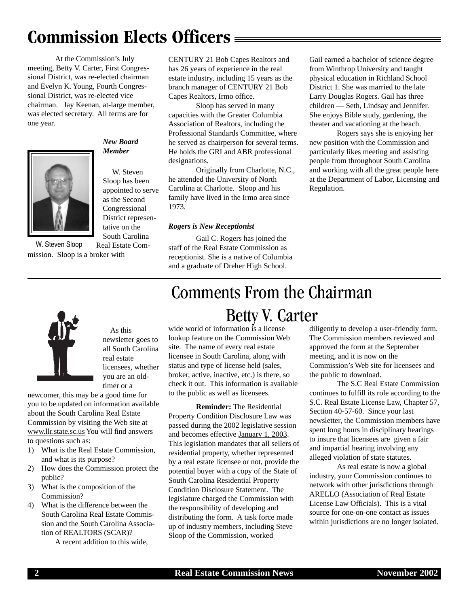# **Commission Elects Officers**

At the Commission's July meeting, Betty V. Carter, First Congressional District, was re-elected chairman and Evelyn K. Young, Fourth Congressional District, was re-elected vice chairman. Jay Keenan, at-large member, was elected secretary. All terms are for one year.



# *New Board Member*

 W. Steven Sloop has been appointed to serve as the Second Congressional District representative on the South Carolina

Real Estate Commission. Sloop is a broker with W. Steven Sloop

CENTURY 21 Bob Capes Realtors and has 26 years of experience in the real estate industry, including 15 years as the branch manager of CENTURY 21 Bob Capes Realtors, Irmo office.

Sloop has served in many capacities with the Greater Columbia Association of Realtors, including the Professional Standards Committee, where he served as chairperson for several terms. He holds the GRI and ABR professional designations.

Originally from Charlotte, N.C., he attended the University of North Carolina at Charlotte. Sloop and his family have lived in the Irmo area since 1973.

# *Rogers is New Receptionist*

Gail C. Rogers has joined the staff of the Real Estate Commission as receptionist. She is a native of Columbia and a graduate of Dreher High School.

Gail earned a bachelor of science degree from Winthrop University and taught physical education in Richland School District 1. She was married to the late Larry Douglas Rogers. Gail has three children — Seth, Lindsay and Jennifer. She enjoys Bible study, gardening, the theater and vacationing at the beach.

Rogers says she is enjoying her new position with the Commission and particularly likes meeting and assisting people from throughout South Carolina and working with all the great people here at the Department of Labor, Licensing and Regulation.



As this newsletter goes to all South Carolina real estate licensees, whether you are an oldtimer or a

newcomer, this may be a good time for you to be updated on information available about the South Carolina Real Estate Commission by visiting the Web site at www.llr.state.sc.us You will find answers to questions such as:

- 1) What is the Real Estate Commission, and what is its purpose?
- 2) How does the Commission protect the public?
- 3) What is the composition of the Commission?
- 4) What is the difference between the South Carolina Real Estate Commission and the South Carolina Association of REALTORS (SCAR)?

A recent addition to this wide,

# Comments From the Chairman Betty V. Carter

wide world of information is a license lookup feature on the Commission Web site. The name of every real estate licensee in South Carolina, along with status and type of license held (sales, broker, active, inactive, etc.) is there, so check it out. This information is available to the public as well as licensees.

**Reminder:** The Residential Property Condition Disclosure Law was passed during the 2002 legislative session and becomes effective January 1, 2003. This legislation mandates that all sellers of residential property, whether represented by a real estate licensee or not, provide the potential buyer with a copy of the State of South Carolina Residential Property Condition Disclosure Statement. The legislature charged the Commission with the responsibility of developing and distributing the form. A task force made up of industry members, including Steve Sloop of the Commission, worked

diligently to develop a user-friendly form. The Commission members reviewed and approved the form at the September meeting, and it is now on the Commission's Web site for licensees and the public to download.

The S.C Real Estate Commission continues to fulfill its role according to the S.C. Real Estate License Law, Chapter 57, Section 40-57-60. Since your last newsletter, the Commission members have spent long hours in disciplinary hearings to insure that licensees are given a fair and impartial hearing involving any alleged violation of state statutes.

As real estate is now a global industry, your Commission continues to network with other jurisdictions through ARELLO (Association of Real Estate License Law Officials). This is a vital source for one-on-one contact as issues within jurisdictions are no longer isolated.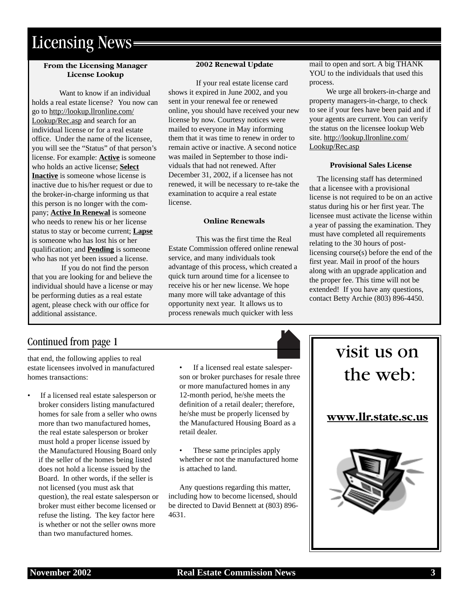# Licensing News

# **From the Licensing Manager License Lookup**

Want to know if an individual holds a real estate license? You now can go to http://lookup.llronline.com/ Lookup/Rec.asp and search for an individual license or for a real estate office. Under the name of the licensee, you will see the "Status" of that person's license. For example: **Active** is someone who holds an active license; **Select Inactive** is someone whose license is inactive due to his/her request or due to the broker-in-charge informing us that this person is no longer with the company; **Active In Renewal** is someone who needs to renew his or her license status to stay or become current; **Lapse** is someone who has lost his or her qualification; and **Pending** is someone who has not yet been issued a license.

 If you do not find the person that you are looking for and believe the individual should have a license or may be performing duties as a real estate agent, please check with our office for additional assistance.

## **2002 Renewal Update**

If your real estate license card shows it expired in June 2002, and you sent in your renewal fee or renewed online, you should have received your new license by now. Courtesy notices were mailed to everyone in May informing them that it was time to renew in order to remain active or inactive. A second notice was mailed in September to those individuals that had not renewed. After December 31, 2002, if a licensee has not renewed, it will be necessary to re-take the examination to acquire a real estate license.

#### **Online Renewals**

This was the first time the Real Estate Commission offered online renewal service, and many individuals took advantage of this process, which created a quick turn around time for a licensee to receive his or her new license. We hope many more will take advantage of this opportunity next year. It allows us to process renewals much quicker with less

mail to open and sort. A big THANK YOU to the individuals that used this process.

 We urge all brokers-in-charge and property managers-in-charge, to check to see if your fees have been paid and if your agents are current. You can verify the status on the licensee lookup Web site. http://lookup.llronline.com/ Lookup/Rec.asp

### **Provisional Sales License**

 The licensing staff has determined that a licensee with a provisional license is not required to be on an active status during his or her first year. The licensee must activate the license within a year of passing the examination. They must have completed all requirements relating to the 30 hours of postlicensing course(s) before the end of the first year. Mail in proof of the hours along with an upgrade application and the proper fee. This time will not be extended! If you have any questions, contact Betty Archie (803) 896-4450.

# Continued from page 1

that end, the following applies to real estate licensees involved in manufactured homes transactions:

If a licensed real estate salesperson or broker considers listing manufactured homes for sale from a seller who owns more than two manufactured homes, the real estate salesperson or broker must hold a proper license issued by the Manufactured Housing Board only if the seller of the homes being listed does not hold a license issued by the Board. In other words, if the seller is not licensed (you must ask that question), the real estate salesperson or broker must either become licensed or refuse the listing. The key factor here is whether or not the seller owns more than two manufactured homes.

If a licensed real estate salesperson or broker purchases for resale three or more manufactured homes in any 12-month period, he/she meets the definition of a retail dealer; therefore, he/she must be properly licensed by the Manufactured Housing Board as a retail dealer.

• These same principles apply whether or not the manufactured home is attached to land.

Any questions regarding this matter, including how to become licensed, should be directed to David Bennett at (803) 896- 4631.

# visit us on the web: **www.llr.state.sc.us**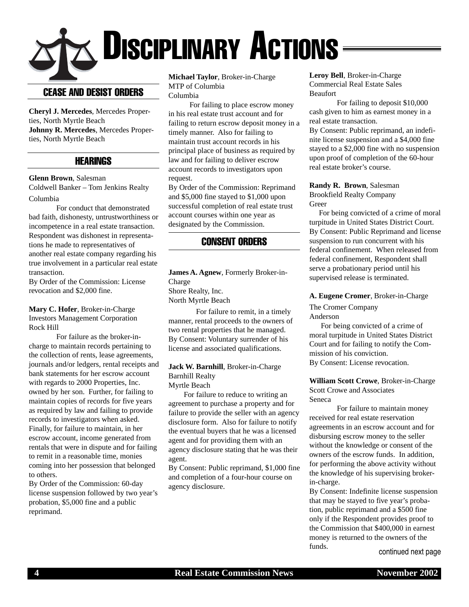# $\times$  Disciplinary Actions

# CEASE AND DESIST ORDERS

**Cheryl J. Mercedes**, Mercedes Properties, North Myrtle Beach **Johnny R. Mercedes**, Mercedes Properties, North Myrtle Beach

# **HEARINGS**

# **Glenn Brown**, Salesman

Coldwell Banker – Tom Jenkins Realty Columbia

For conduct that demonstrated bad faith, dishonesty, untrustworthiness or incompetence in a real estate transaction. Respondent was dishonest in representations he made to representatives of another real estate company regarding his true involvement in a particular real estate transaction.

By Order of the Commission: License revocation and \$2,000 fine.

**Mary C. Hofer**, Broker-in-Charge Investors Management Corporation Rock Hill

For failure as the broker-incharge to maintain records pertaining to the collection of rents, lease agreements, journals and/or ledgers, rental receipts and bank statements for her escrow account with regards to 2000 Properties, Inc. owned by her son. Further, for failing to maintain copies of records for five years as required by law and failing to provide records to investigators when asked. Finally, for failure to maintain, in her escrow account, income generated from rentals that were in dispute and for failing to remit in a reasonable time, monies coming into her possession that belonged to others.

By Order of the Commission: 60-day license suspension followed by two year's probation, \$5,000 fine and a public reprimand.

**Michael Taylor**, Broker-in-Charge MTP of Columbia Columbia

 For failing to place escrow money in his real estate trust account and for failing to return escrow deposit money in a timely manner. Also for failing to maintain trust account records in his principal place of business as required by law and for failing to deliver escrow account records to investigators upon request.

By Order of the Commission: Reprimand and \$5,000 fine stayed to \$1,000 upon successful completion of real estate trust account courses within one year as designated by the Commission.

# CONSENT ORDERS

**James A. Agnew**, Formerly Broker-in-Charge Shore Realty, Inc. North Myrtle Beach

For failure to remit, in a timely manner, rental proceeds to the owners of two rental properties that he managed. By Consent: Voluntary surrender of his license and associated qualifications.

### **Jack W. Barnhill**, Broker-in-Charge Barnhill Realty Myrtle Beach

 For failure to reduce to writing an agreement to purchase a property and for failure to provide the seller with an agency disclosure form. Also for failure to notify the eventual buyers that he was a licensed agent and for providing them with an agency disclosure stating that he was their agent.

By Consent: Public reprimand, \$1,000 fine and completion of a four-hour course on agency disclosure.

**Leroy Bell**, Broker-in-Charge Commercial Real Estate Sales Beaufort

For failing to deposit \$10,000 cash given to him as earnest money in a real estate transaction.

By Consent: Public reprimand, an indefinite license suspension and a \$4,000 fine stayed to a \$2,000 fine with no suspension upon proof of completion of the 60-hour real estate broker's course.

#### **Randy R. Brown**, Salesman Brookfield Realty Company Greer

 For being convicted of a crime of moral turpitude in United States District Court. By Consent: Public Reprimand and license suspension to run concurrent with his federal confinement. When released from federal confinement, Respondent shall serve a probationary period until his supervised release is terminated.

## **A. Eugene Cromer**, Broker-in-Charge

The Cromer Company Anderson

 For being convicted of a crime of moral turpitude in United States District Court and for failing to notify the Commission of his conviction. By Consent: License revocation.

**William Scott Crowe**, Broker-in-Charge Scott Crowe and Associates Seneca

For failure to maintain money received for real estate reservation agreements in an escrow account and for disbursing escrow money to the seller without the knowledge or consent of the owners of the escrow funds. In addition, for performing the above activity without the knowledge of his supervising brokerin-charge.

By Consent: Indefinite license suspension that may be stayed to five year's probation, public reprimand and a \$500 fine only if the Respondent provides proof to the Commission that \$400,000 in earnest money is returned to the owners of the funds.

continued next page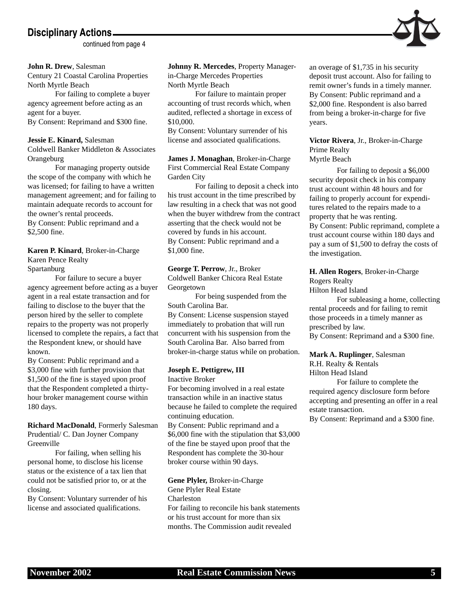# **Disciplinary Actions**

continued from page 4

#### **John R. Drew**, Salesman

Century 21 Coastal Carolina Properties North Myrtle Beach

For failing to complete a buyer agency agreement before acting as an agent for a buyer.

By Consent: Reprimand and \$300 fine.

## **Jessie E. Kinard,** Salesman

Coldwell Banker Middleton & Associates **Orangeburg** 

For managing property outside the scope of the company with which he was licensed; for failing to have a written management agreement; and for failing to maintain adequate records to account for the owner's rental proceeds. By Consent: Public reprimand and a

\$2,500 fine.

# **Karen P. Kinard**, Broker-in-Charge Karen Pence Realty

Spartanburg

For failure to secure a buyer agency agreement before acting as a buyer agent in a real estate transaction and for failing to disclose to the buyer that the person hired by the seller to complete repairs to the property was not properly licensed to complete the repairs, a fact that the Respondent knew, or should have known.

By Consent: Public reprimand and a \$3,000 fine with further provision that \$1,500 of the fine is stayed upon proof that the Respondent completed a thirtyhour broker management course within 180 days.

## **Richard MacDonald**, Formerly Salesman Prudential/ C. Dan Joyner Company Greenville

For failing, when selling his personal home, to disclose his license status or the existence of a tax lien that could not be satisfied prior to, or at the closing.

By Consent: Voluntary surrender of his license and associated qualifications.

**Johnny R. Mercedes**, Property Managerin-Charge Mercedes Properties North Myrtle Beach

For failure to maintain proper accounting of trust records which, when audited, reflected a shortage in excess of \$10,000.

By Consent: Voluntary surrender of his license and associated qualifications.

**James J. Monaghan**, Broker-in-Charge First Commercial Real Estate Company Garden City

For failing to deposit a check into his trust account in the time prescribed by law resulting in a check that was not good when the buyer withdrew from the contract asserting that the check would not be covered by funds in his account. By Consent: Public reprimand and a \$1,000 fine.

#### **George T. Perrow**, Jr., Broker Coldwell Banker Chicora Real Estate

Georgetown

For being suspended from the South Carolina Bar. By Consent: License suspension stayed immediately to probation that will run

concurrent with his suspension from the South Carolina Bar. Also barred from broker-in-charge status while on probation.

## **Joseph E. Pettigrew, III**

Inactive Broker

For becoming involved in a real estate transaction while in an inactive status because he failed to complete the required continuing education. By Consent: Public reprimand and a \$6,000 fine with the stipulation that \$3,000

of the fine be stayed upon proof that the Respondent has complete the 30-hour broker course within 90 days.

# **Gene Plyler,** Broker-in-Charge

Gene Plyler Real Estate Charleston For failing to reconcile his bank statements or his trust account for more than six months. The Commission audit revealed

an overage of \$1,735 in his security deposit trust account. Also for failing to remit owner's funds in a timely manner. By Consent: Public reprimand and a \$2,000 fine. Respondent is also barred from being a broker-in-charge for five years.

**Victor Rivera**, Jr., Broker-in-Charge Prime Realty Myrtle Beach

For failing to deposit a \$6,000 security deposit check in his company trust account within 48 hours and for failing to properly account for expenditures related to the repairs made to a property that he was renting. By Consent: Public reprimand, complete a trust account course within 180 days and pay a sum of \$1,500 to defray the costs of the investigation.

#### **H. Allen Rogers**, Broker-in-Charge Rogers Realty

Hilton Head Island

For subleasing a home, collecting rental proceeds and for failing to remit those proceeds in a timely manner as prescribed by law. By Consent: Reprimand and a \$300 fine.

# **Mark A. Ruplinger**, Salesman

R.H. Realty & Rentals

Hilton Head Island

For failure to complete the required agency disclosure form before accepting and presenting an offer in a real estate transaction.

By Consent: Reprimand and a \$300 fine.